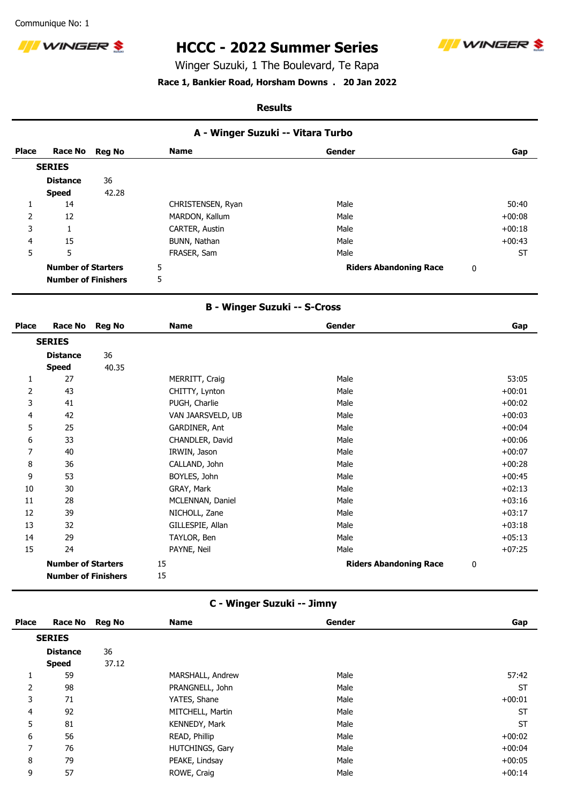Communique No: 1



# **HCCC - 2022 Summer Series**



Winger Suzuki, 1 The Boulevard, Te Rapa

## **Race 1, Bankier Road, Horsham Downs . 20 Jan 2022**

#### **Results**

| A - Winger Suzuki -- Vitara Turbo |  |
|-----------------------------------|--|
|-----------------------------------|--|

| <b>Place</b> | Race No Reg No             |       | <b>Name</b>       | Gender                        | Gap       |
|--------------|----------------------------|-------|-------------------|-------------------------------|-----------|
|              | <b>SERIES</b>              |       |                   |                               |           |
|              | <b>Distance</b>            | 36    |                   |                               |           |
|              | <b>Speed</b>               | 42.28 |                   |                               |           |
|              | 14                         |       | CHRISTENSEN, Ryan | Male                          | 50:40     |
| 2            | 12                         |       | MARDON, Kallum    | Male                          | $+00:08$  |
| 3            | м                          |       | CARTER, Austin    | Male                          | $+00:18$  |
| 4            | 15                         |       | BUNN, Nathan      | Male                          | $+00:43$  |
| 5            | 5                          |       | FRASER, Sam       | Male                          | <b>ST</b> |
|              | <b>Number of Starters</b>  |       | 5                 | <b>Riders Abandoning Race</b> | 0         |
|              | <b>Number of Finishers</b> |       | 5                 |                               |           |

## **B - Winger Suzuki -- S-Cross**

| <b>Place</b> | <b>Race No</b>                                          | <b>Reg No</b> | <b>Name</b>       | Gender                        | Gap      |
|--------------|---------------------------------------------------------|---------------|-------------------|-------------------------------|----------|
|              | <b>SERIES</b>                                           |               |                   |                               |          |
|              | <b>Distance</b>                                         | 36            |                   |                               |          |
|              | <b>Speed</b>                                            | 40.35         |                   |                               |          |
| 1            | 27                                                      |               | MERRITT, Craig    | Male                          | 53:05    |
| 2            | 43                                                      |               | CHITTY, Lynton    | Male                          | $+00:01$ |
| 3            | 41                                                      |               | PUGH, Charlie     | Male                          | $+00:02$ |
| 4            | 42                                                      |               | VAN JAARSVELD, UB | Male                          | $+00:03$ |
| 5            | 25                                                      |               | GARDINER, Ant     | Male                          | $+00:04$ |
| 6            | 33                                                      |               | CHANDLER, David   | Male                          | $+00:06$ |
| 7            | 40                                                      |               | IRWIN, Jason      | Male                          | $+00:07$ |
| 8            | 36                                                      |               | CALLAND, John     | Male                          | $+00:28$ |
| 9            | 53                                                      |               | BOYLES, John      | Male                          | $+00:45$ |
| 10           | 30                                                      |               | GRAY, Mark        | Male                          | $+02:13$ |
| 11           | 28                                                      |               | MCLENNAN, Daniel  | Male                          | $+03:16$ |
| 12           | 39                                                      |               | NICHOLL, Zane     | Male                          | $+03:17$ |
| 13           | 32                                                      |               | GILLESPIE, Allan  | Male                          | $+03:18$ |
| 14           | 29                                                      |               | TAYLOR, Ben       | Male                          | $+05:13$ |
| 15           | 24                                                      |               | PAYNE, Neil       | Male                          | $+07:25$ |
|              | <b>Number of Starters</b><br><b>Number of Finishers</b> |               | 15<br>15          | <b>Riders Abandoning Race</b> | 0        |

# **C - Winger Suzuki -- Jimny**

| <b>Place</b> | Race No Reg No  |       | <b>Name</b>      | Gender | Gap       |
|--------------|-----------------|-------|------------------|--------|-----------|
|              | <b>SERIES</b>   |       |                  |        |           |
|              | <b>Distance</b> | 36    |                  |        |           |
|              | <b>Speed</b>    | 37.12 |                  |        |           |
|              | 59              |       | MARSHALL, Andrew | Male   | 57:42     |
| 2            | 98              |       | PRANGNELL, John  | Male   | <b>ST</b> |
| 3            | 71              |       | YATES, Shane     | Male   | $+00:01$  |
| 4            | 92              |       | MITCHELL, Martin | Male   | <b>ST</b> |
| 5            | 81              |       | KENNEDY, Mark    | Male   | <b>ST</b> |
| 6            | 56              |       | READ, Phillip    | Male   | $+00:02$  |
| 7            | 76              |       | HUTCHINGS, Gary  | Male   | $+00:04$  |
| 8            | 79              |       | PEAKE, Lindsay   | Male   | $+00:05$  |
| 9            | 57              |       | ROWE, Craig      | Male   | $+00:14$  |
|              |                 |       |                  |        |           |